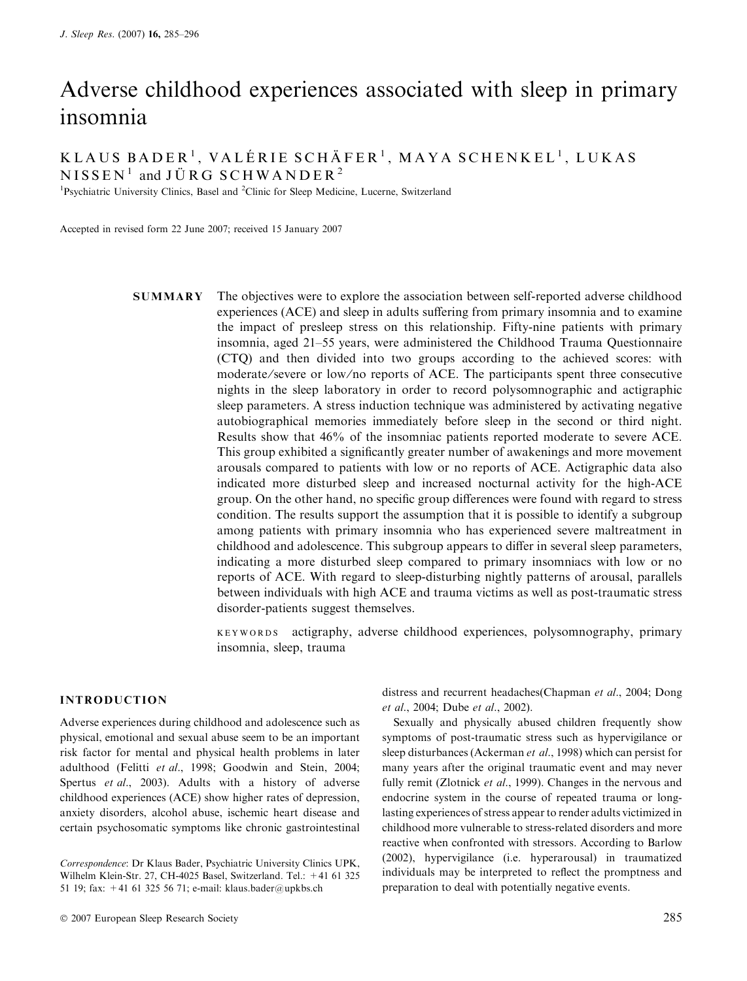# Adverse childhood experiences associated with sleep in primary insomnia

KLAUS BADER<sup>1</sup>, VALÉRIE SCHÄFER<sup>1</sup>, MAYA SCHENKEL<sup>1</sup>, LUKAS  $NISSEN<sup>1</sup>$  and  $JURG SCHWANDER<sup>2</sup>$ 

<sup>1</sup>Psychiatric University Clinics, Basel and <sup>2</sup>Clinic for Sleep Medicine, Lucerne, Switzerland

Accepted in revised form 22 June 2007; received 15 January 2007

SUMMARY The objectives were to explore the association between self-reported adverse childhood experiences (ACE) and sleep in adults suffering from primary insomnia and to examine the impact of presleep stress on this relationship. Fifty-nine patients with primary insomnia, aged 21–55 years, were administered the Childhood Trauma Questionnaire (CTQ) and then divided into two groups according to the achieved scores: with moderate/severe or low/no reports of ACE. The participants spent three consecutive nights in the sleep laboratory in order to record polysomnographic and actigraphic sleep parameters. A stress induction technique was administered by activating negative autobiographical memories immediately before sleep in the second or third night. Results show that 46% of the insomniac patients reported moderate to severe ACE. This group exhibited a significantly greater number of awakenings and more movement arousals compared to patients with low or no reports of ACE. Actigraphic data also indicated more disturbed sleep and increased nocturnal activity for the high-ACE group. On the other hand, no specific group differences were found with regard to stress condition. The results support the assumption that it is possible to identify a subgroup among patients with primary insomnia who has experienced severe maltreatment in childhood and adolescence. This subgroup appears to differ in several sleep parameters, indicating a more disturbed sleep compared to primary insomniacs with low or no reports of ACE. With regard to sleep-disturbing nightly patterns of arousal, parallels between individuals with high ACE and trauma victims as well as post-traumatic stress disorder-patients suggest themselves.

> keywords actigraphy, adverse childhood experiences, polysomnography, primary insomnia, sleep, trauma

# INTRODUCTION

Adverse experiences during childhood and adolescence such as physical, emotional and sexual abuse seem to be an important risk factor for mental and physical health problems in later adulthood (Felitti et al., 1998; Goodwin and Stein, 2004; Spertus et al., 2003). Adults with a history of adverse childhood experiences (ACE) show higher rates of depression, anxiety disorders, alcohol abuse, ischemic heart disease and certain psychosomatic symptoms like chronic gastrointestinal distress and recurrent headaches(Chapman et al., 2004; Dong et al., 2004; Dube et al., 2002).

Sexually and physically abused children frequently show symptoms of post-traumatic stress such as hypervigilance or sleep disturbances (Ackerman et al., 1998) which can persist for many years after the original traumatic event and may never fully remit (Zlotnick et al., 1999). Changes in the nervous and endocrine system in the course of repeated trauma or longlasting experiences of stress appear to render adults victimized in childhood more vulnerable to stress-related disorders and more reactive when confronted with stressors. According to Barlow (2002), hypervigilance (i.e. hyperarousal) in traumatized individuals may be interpreted to reflect the promptness and preparation to deal with potentially negative events.

Correspondence: Dr Klaus Bader, Psychiatric University Clinics UPK, Wilhelm Klein-Str. 27, CH-4025 Basel, Switzerland. Tel.: +41 61 325 51 19; fax: +41 61 325 56 71; e-mail: klaus.bader@upkbs.ch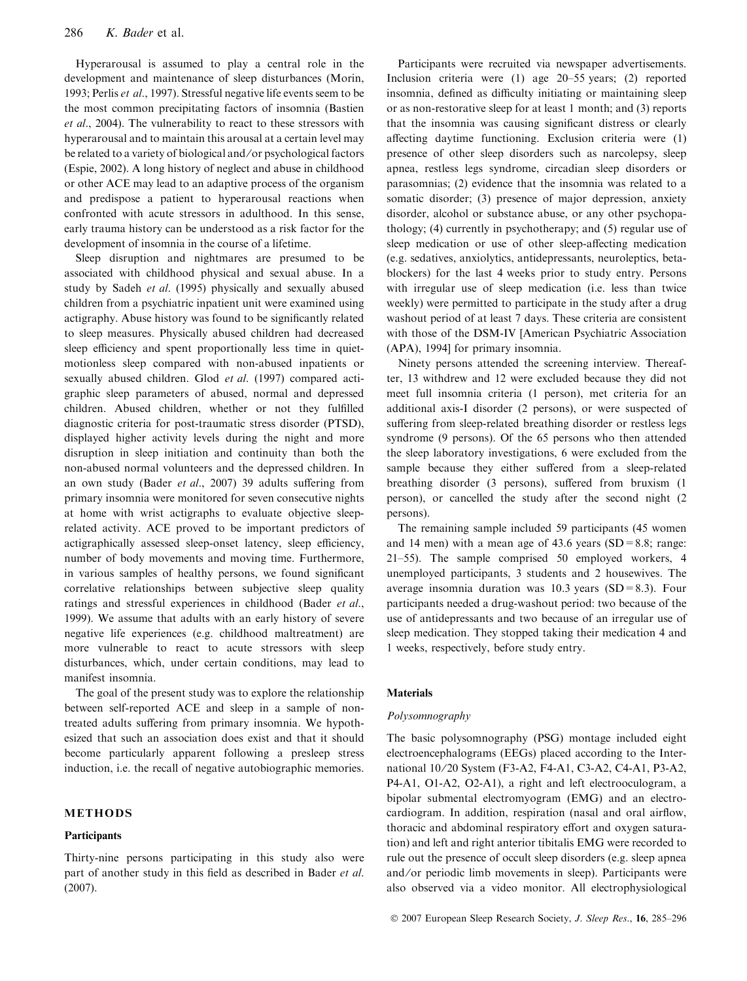Hyperarousal is assumed to play a central role in the development and maintenance of sleep disturbances (Morin, 1993; Perlis et al., 1997). Stressful negative life events seem to be the most common precipitating factors of insomnia (Bastien et al., 2004). The vulnerability to react to these stressors with hyperarousal and to maintain this arousal at a certain level may be related to a variety of biological and ⁄ or psychological factors (Espie, 2002). A long history of neglect and abuse in childhood or other ACE may lead to an adaptive process of the organism and predispose a patient to hyperarousal reactions when confronted with acute stressors in adulthood. In this sense, early trauma history can be understood as a risk factor for the development of insomnia in the course of a lifetime.

Sleep disruption and nightmares are presumed to be associated with childhood physical and sexual abuse. In a study by Sadeh et al. (1995) physically and sexually abused children from a psychiatric inpatient unit were examined using actigraphy. Abuse history was found to be significantly related to sleep measures. Physically abused children had decreased sleep efficiency and spent proportionally less time in quietmotionless sleep compared with non-abused inpatients or sexually abused children. Glod et al. (1997) compared actigraphic sleep parameters of abused, normal and depressed children. Abused children, whether or not they fulfilled diagnostic criteria for post-traumatic stress disorder (PTSD), displayed higher activity levels during the night and more disruption in sleep initiation and continuity than both the non-abused normal volunteers and the depressed children. In an own study (Bader et al., 2007) 39 adults suffering from primary insomnia were monitored for seven consecutive nights at home with wrist actigraphs to evaluate objective sleeprelated activity. ACE proved to be important predictors of actigraphically assessed sleep-onset latency, sleep efficiency, number of body movements and moving time. Furthermore, in various samples of healthy persons, we found significant correlative relationships between subjective sleep quality ratings and stressful experiences in childhood (Bader et al., 1999). We assume that adults with an early history of severe negative life experiences (e.g. childhood maltreatment) are more vulnerable to react to acute stressors with sleep disturbances, which, under certain conditions, may lead to manifest insomnia.

The goal of the present study was to explore the relationship between self-reported ACE and sleep in a sample of nontreated adults suffering from primary insomnia. We hypothesized that such an association does exist and that it should become particularly apparent following a presleep stress induction, i.e. the recall of negative autobiographic memories.

## METHODS

## **Participants**

Thirty-nine persons participating in this study also were part of another study in this field as described in Bader et al. (2007).

Participants were recruited via newspaper advertisements. Inclusion criteria were (1) age 20–55 years; (2) reported insomnia, defined as difficulty initiating or maintaining sleep or as non-restorative sleep for at least 1 month; and (3) reports that the insomnia was causing significant distress or clearly affecting daytime functioning. Exclusion criteria were (1) presence of other sleep disorders such as narcolepsy, sleep apnea, restless legs syndrome, circadian sleep disorders or parasomnias; (2) evidence that the insomnia was related to a somatic disorder; (3) presence of major depression, anxiety disorder, alcohol or substance abuse, or any other psychopathology; (4) currently in psychotherapy; and (5) regular use of sleep medication or use of other sleep-affecting medication (e.g. sedatives, anxiolytics, antidepressants, neuroleptics, betablockers) for the last 4 weeks prior to study entry. Persons with irregular use of sleep medication (i.e. less than twice weekly) were permitted to participate in the study after a drug washout period of at least 7 days. These criteria are consistent with those of the DSM-IV [American Psychiatric Association (APA), 1994] for primary insomnia.

Ninety persons attended the screening interview. Thereafter, 13 withdrew and 12 were excluded because they did not meet full insomnia criteria (1 person), met criteria for an additional axis-I disorder (2 persons), or were suspected of suffering from sleep-related breathing disorder or restless legs syndrome (9 persons). Of the 65 persons who then attended the sleep laboratory investigations, 6 were excluded from the sample because they either suffered from a sleep-related breathing disorder (3 persons), suffered from bruxism (1 person), or cancelled the study after the second night (2 persons).

The remaining sample included 59 participants (45 women and 14 men) with a mean age of 43.6 years  $(SD=8.8; \text{ range})$ 21–55). The sample comprised 50 employed workers, 4 unemployed participants, 3 students and 2 housewives. The average insomnia duration was  $10.3$  years (SD=8.3). Four participants needed a drug-washout period: two because of the use of antidepressants and two because of an irregular use of sleep medication. They stopped taking their medication 4 and 1 weeks, respectively, before study entry.

## Materials

# Polysomnography

The basic polysomnography (PSG) montage included eight electroencephalograms (EEGs) placed according to the International 10/20 System (F3-A2, F4-A1, C3-A2, C4-A1, P3-A2, P4-A1, O1-A2, O2-A1), a right and left electrooculogram, a bipolar submental electromyogram (EMG) and an electrocardiogram. In addition, respiration (nasal and oral airflow, thoracic and abdominal respiratory effort and oxygen saturation) and left and right anterior tibitalis EMG were recorded to rule out the presence of occult sleep disorders (e.g. sleep apnea and/or periodic limb movements in sleep). Participants were also observed via a video monitor. All electrophysiological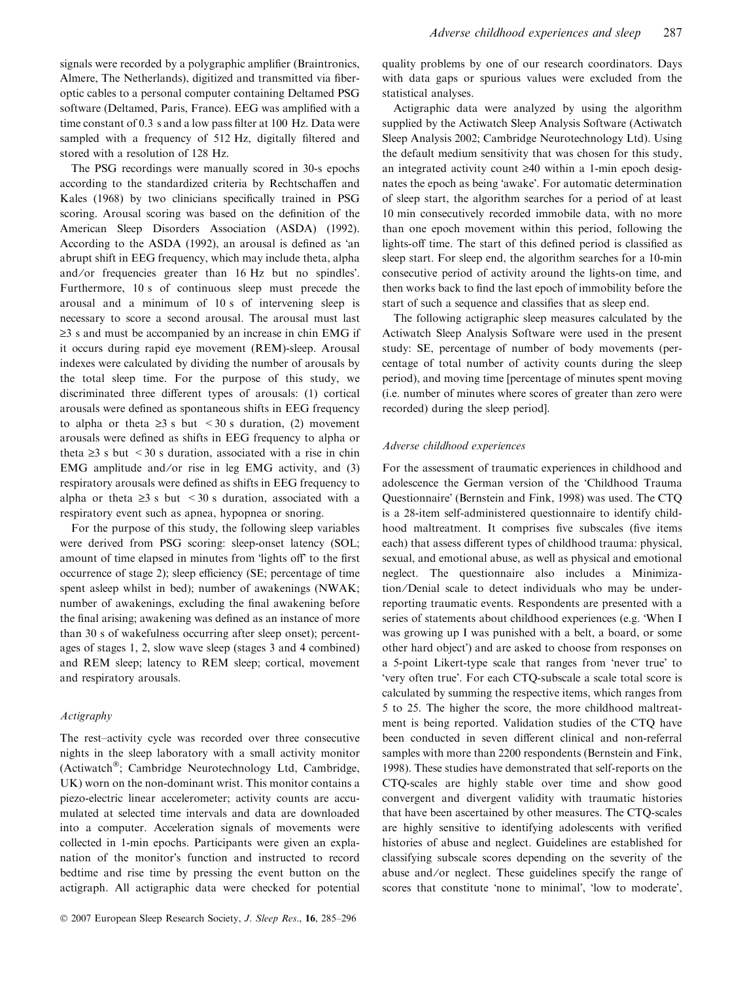signals were recorded by a polygraphic amplifier (Braintronics, Almere, The Netherlands), digitized and transmitted via fiberoptic cables to a personal computer containing Deltamed PSG software (Deltamed, Paris, France). EEG was amplified with a time constant of 0.3 s and a low pass filter at 100 Hz. Data were sampled with a frequency of 512 Hz, digitally filtered and stored with a resolution of 128 Hz.

The PSG recordings were manually scored in 30-s epochs according to the standardized criteria by Rechtschaffen and Kales (1968) by two clinicians specifically trained in PSG scoring. Arousal scoring was based on the definition of the American Sleep Disorders Association (ASDA) (1992). According to the ASDA (1992), an arousal is defined as 'an abrupt shift in EEG frequency, which may include theta, alpha and/or frequencies greater than 16 Hz but no spindles'. Furthermore, 10 s of continuous sleep must precede the arousal and a minimum of 10 s of intervening sleep is necessary to score a second arousal. The arousal must last  $\geq$ 3 s and must be accompanied by an increase in chin EMG if it occurs during rapid eye movement (REM)-sleep. Arousal indexes were calculated by dividing the number of arousals by the total sleep time. For the purpose of this study, we discriminated three different types of arousals: (1) cortical arousals were defined as spontaneous shifts in EEG frequency to alpha or theta  $\geq 3$  s but <30 s duration, (2) movement arousals were defined as shifts in EEG frequency to alpha or theta  $\geq 3$  s but  $\lt 30$  s duration, associated with a rise in chin EMG amplitude and/or rise in leg EMG activity, and (3) respiratory arousals were defined as shifts in EEG frequency to alpha or theta  $\geq 3$  s but <30 s duration, associated with a respiratory event such as apnea, hypopnea or snoring.

For the purpose of this study, the following sleep variables were derived from PSG scoring: sleep-onset latency (SOL; amount of time elapsed in minutes from 'lights off' to the first occurrence of stage 2); sleep efficiency (SE; percentage of time spent asleep whilst in bed); number of awakenings (NWAK; number of awakenings, excluding the final awakening before the final arising; awakening was defined as an instance of more than 30 s of wakefulness occurring after sleep onset); percentages of stages 1, 2, slow wave sleep (stages 3 and 4 combined) and REM sleep; latency to REM sleep; cortical, movement and respiratory arousals.

# Actigraphy

The rest–activity cycle was recorded over three consecutive nights in the sleep laboratory with a small activity monitor (Actiwatch®; Cambridge Neurotechnology Ltd, Cambridge, UK) worn on the non-dominant wrist. This monitor contains a piezo-electric linear accelerometer; activity counts are accumulated at selected time intervals and data are downloaded into a computer. Acceleration signals of movements were collected in 1-min epochs. Participants were given an explanation of the monitor's function and instructed to record bedtime and rise time by pressing the event button on the actigraph. All actigraphic data were checked for potential quality problems by one of our research coordinators. Days with data gaps or spurious values were excluded from the statistical analyses.

Actigraphic data were analyzed by using the algorithm supplied by the Actiwatch Sleep Analysis Software (Actiwatch Sleep Analysis 2002; Cambridge Neurotechnology Ltd). Using the default medium sensitivity that was chosen for this study, an integrated activity count  $\geq 40$  within a 1-min epoch designates the epoch as being 'awake'. For automatic determination of sleep start, the algorithm searches for a period of at least 10 min consecutively recorded immobile data, with no more than one epoch movement within this period, following the lights-off time. The start of this defined period is classified as sleep start. For sleep end, the algorithm searches for a 10-min consecutive period of activity around the lights-on time, and then works back to find the last epoch of immobility before the start of such a sequence and classifies that as sleep end.

The following actigraphic sleep measures calculated by the Actiwatch Sleep Analysis Software were used in the present study: SE, percentage of number of body movements (percentage of total number of activity counts during the sleep period), and moving time [percentage of minutes spent moving (i.e. number of minutes where scores of greater than zero were recorded) during the sleep period].

# Adverse childhood experiences

For the assessment of traumatic experiences in childhood and adolescence the German version of the 'Childhood Trauma Questionnaire (Bernstein and Fink, 1998) was used. The CTQ is a 28-item self-administered questionnaire to identify childhood maltreatment. It comprises five subscales (five items each) that assess different types of childhood trauma: physical, sexual, and emotional abuse, as well as physical and emotional neglect. The questionnaire also includes a Minimization/Denial scale to detect individuals who may be underreporting traumatic events. Respondents are presented with a series of statements about childhood experiences (e.g. 'When I was growing up I was punished with a belt, a board, or some other hard object) and are asked to choose from responses on a 5-point Likert-type scale that ranges from 'never true' to 'very often true'. For each CTQ-subscale a scale total score is calculated by summing the respective items, which ranges from 5 to 25. The higher the score, the more childhood maltreatment is being reported. Validation studies of the CTQ have been conducted in seven different clinical and non-referral samples with more than 2200 respondents (Bernstein and Fink, 1998). These studies have demonstrated that self-reports on the CTQ-scales are highly stable over time and show good convergent and divergent validity with traumatic histories that have been ascertained by other measures. The CTQ-scales are highly sensitive to identifying adolescents with verified histories of abuse and neglect. Guidelines are established for classifying subscale scores depending on the severity of the abuse and/or neglect. These guidelines specify the range of scores that constitute 'none to minimal', 'low to moderate',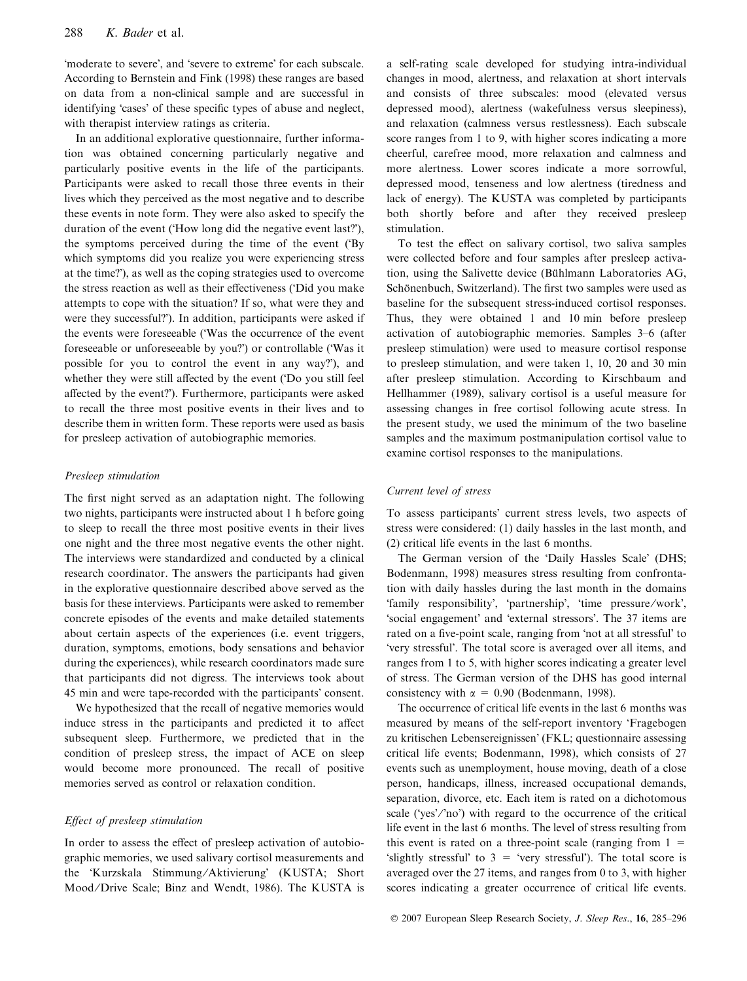'moderate to severe', and 'severe to extreme' for each subscale. According to Bernstein and Fink (1998) these ranges are based on data from a non-clinical sample and are successful in identifying 'cases' of these specific types of abuse and neglect, with therapist interview ratings as criteria.

In an additional explorative questionnaire, further information was obtained concerning particularly negative and particularly positive events in the life of the participants. Participants were asked to recall those three events in their lives which they perceived as the most negative and to describe these events in note form. They were also asked to specify the duration of the event ('How long did the negative event last?'), the symptoms perceived during the time of the event (By which symptoms did you realize you were experiencing stress at the time?), as well as the coping strategies used to overcome the stress reaction as well as their effectiveness ('Did you make attempts to cope with the situation? If so, what were they and were they successful?). In addition, participants were asked if the events were foreseeable ('Was the occurrence of the event foreseeable or unforeseeable by you?') or controllable ('Was it possible for you to control the event in any way?), and whether they were still affected by the event ('Do you still feel affected by the event?). Furthermore, participants were asked to recall the three most positive events in their lives and to describe them in written form. These reports were used as basis for presleep activation of autobiographic memories.

## Presleep stimulation

The first night served as an adaptation night. The following two nights, participants were instructed about 1 h before going to sleep to recall the three most positive events in their lives one night and the three most negative events the other night. The interviews were standardized and conducted by a clinical research coordinator. The answers the participants had given in the explorative questionnaire described above served as the basis for these interviews. Participants were asked to remember concrete episodes of the events and make detailed statements about certain aspects of the experiences (i.e. event triggers, duration, symptoms, emotions, body sensations and behavior during the experiences), while research coordinators made sure that participants did not digress. The interviews took about 45 min and were tape-recorded with the participants' consent.

We hypothesized that the recall of negative memories would induce stress in the participants and predicted it to affect subsequent sleep. Furthermore, we predicted that in the condition of presleep stress, the impact of ACE on sleep would become more pronounced. The recall of positive memories served as control or relaxation condition.

#### Effect of presleep stimulation

In order to assess the effect of presleep activation of autobiographic memories, we used salivary cortisol measurements and the 'Kurzskala Stimmung/Aktivierung' (KUSTA; Short Mood ⁄ Drive Scale; Binz and Wendt, 1986). The KUSTA is a self-rating scale developed for studying intra-individual changes in mood, alertness, and relaxation at short intervals and consists of three subscales: mood (elevated versus depressed mood), alertness (wakefulness versus sleepiness), and relaxation (calmness versus restlessness). Each subscale score ranges from 1 to 9, with higher scores indicating a more cheerful, carefree mood, more relaxation and calmness and more alertness. Lower scores indicate a more sorrowful, depressed mood, tenseness and low alertness (tiredness and lack of energy). The KUSTA was completed by participants both shortly before and after they received presleep stimulation.

To test the effect on salivary cortisol, two saliva samples were collected before and four samples after presleep activation, using the Salivette device (Bühlmann Laboratories AG, Schönenbuch, Switzerland). The first two samples were used as baseline for the subsequent stress-induced cortisol responses. Thus, they were obtained 1 and 10 min before presleep activation of autobiographic memories. Samples 3–6 (after presleep stimulation) were used to measure cortisol response to presleep stimulation, and were taken 1, 10, 20 and 30 min after presleep stimulation. According to Kirschbaum and Hellhammer (1989), salivary cortisol is a useful measure for assessing changes in free cortisol following acute stress. In the present study, we used the minimum of the two baseline samples and the maximum postmanipulation cortisol value to examine cortisol responses to the manipulations.

# Current level of stress

To assess participants' current stress levels, two aspects of stress were considered: (1) daily hassles in the last month, and (2) critical life events in the last 6 months.

The German version of the 'Daily Hassles Scale' (DHS; Bodenmann, 1998) measures stress resulting from confrontation with daily hassles during the last month in the domains 'family responsibility', 'partnership', 'time pressure/work', 'social engagement' and 'external stressors'. The 37 items are rated on a five-point scale, ranging from 'not at all stressful' to -very stressful. The total score is averaged over all items, and ranges from 1 to 5, with higher scores indicating a greater level of stress. The German version of the DHS has good internal consistency with  $\alpha = 0.90$  (Bodenmann, 1998).

The occurrence of critical life events in the last 6 months was measured by means of the self-report inventory 'Fragebogen zu kritischen Lebensereignissen' (FKL; questionnaire assessing critical life events; Bodenmann, 1998), which consists of 27 events such as unemployment, house moving, death of a close person, handicaps, illness, increased occupational demands, separation, divorce, etc. Each item is rated on a dichotomous scale ('yes'/'no') with regard to the occurrence of the critical life event in the last 6 months. The level of stress resulting from this event is rated on a three-point scale (ranging from  $1 =$ 'slightly stressful' to  $3$  = 'very stressful'). The total score is averaged over the 27 items, and ranges from 0 to 3, with higher scores indicating a greater occurrence of critical life events.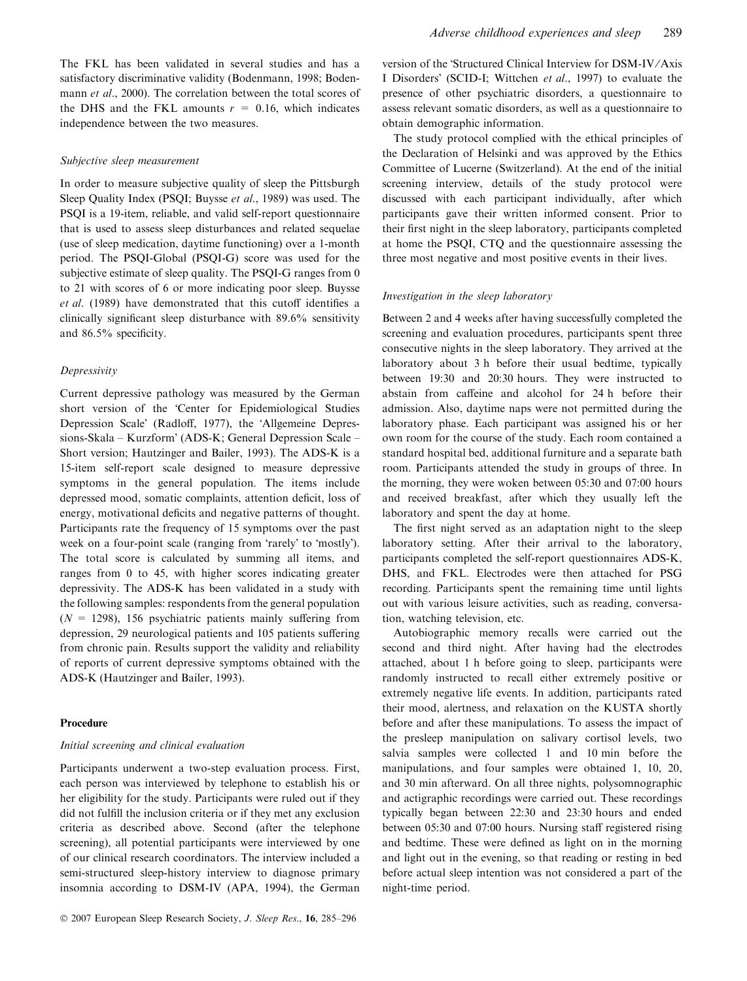The FKL has been validated in several studies and has a satisfactory discriminative validity (Bodenmann, 1998; Bodenmann et al., 2000). The correlation between the total scores of the DHS and the FKL amounts  $r = 0.16$ , which indicates independence between the two measures.

#### Subjective sleep measurement

In order to measure subjective quality of sleep the Pittsburgh Sleep Quality Index (PSQI; Buysse et al., 1989) was used. The PSQI is a 19-item, reliable, and valid self-report questionnaire that is used to assess sleep disturbances and related sequelae (use of sleep medication, daytime functioning) over a 1-month period. The PSQI-Global (PSQI-G) score was used for the subjective estimate of sleep quality. The PSQI-G ranges from 0 to 21 with scores of 6 or more indicating poor sleep. Buysse et al. (1989) have demonstrated that this cutoff identifies a clinically significant sleep disturbance with 89.6% sensitivity and 86.5% specificity.

#### Depressivity

Current depressive pathology was measured by the German short version of the 'Center for Epidemiological Studies Depression Scale' (Radloff, 1977), the 'Allgemeine Depressions-Skala – Kurzform' (ADS-K; General Depression Scale – Short version; Hautzinger and Bailer, 1993). The ADS-K is a 15-item self-report scale designed to measure depressive symptoms in the general population. The items include depressed mood, somatic complaints, attention deficit, loss of energy, motivational deficits and negative patterns of thought. Participants rate the frequency of 15 symptoms over the past week on a four-point scale (ranging from 'rarely' to 'mostly'). The total score is calculated by summing all items, and ranges from 0 to 45, with higher scores indicating greater depressivity. The ADS-K has been validated in a study with the following samples: respondents from the general population  $(N = 1298)$ , 156 psychiatric patients mainly suffering from depression, 29 neurological patients and 105 patients suffering from chronic pain. Results support the validity and reliability of reports of current depressive symptoms obtained with the ADS-K (Hautzinger and Bailer, 1993).

# Procedure

#### Initial screening and clinical evaluation

Participants underwent a two-step evaluation process. First, each person was interviewed by telephone to establish his or her eligibility for the study. Participants were ruled out if they did not fulfill the inclusion criteria or if they met any exclusion criteria as described above. Second (after the telephone screening), all potential participants were interviewed by one of our clinical research coordinators. The interview included a semi-structured sleep-history interview to diagnose primary insomnia according to DSM-IV (APA, 1994), the German

version of the 'Structured Clinical Interview for DSM-IV/Axis I Disorders' (SCID-I; Wittchen et al., 1997) to evaluate the presence of other psychiatric disorders, a questionnaire to assess relevant somatic disorders, as well as a questionnaire to obtain demographic information.

The study protocol complied with the ethical principles of the Declaration of Helsinki and was approved by the Ethics Committee of Lucerne (Switzerland). At the end of the initial screening interview, details of the study protocol were discussed with each participant individually, after which participants gave their written informed consent. Prior to their first night in the sleep laboratory, participants completed at home the PSQI, CTQ and the questionnaire assessing the three most negative and most positive events in their lives.

# Investigation in the sleep laboratory

Between 2 and 4 weeks after having successfully completed the screening and evaluation procedures, participants spent three consecutive nights in the sleep laboratory. They arrived at the laboratory about 3 h before their usual bedtime, typically between 19:30 and 20:30 hours. They were instructed to abstain from caffeine and alcohol for 24 h before their admission. Also, daytime naps were not permitted during the laboratory phase. Each participant was assigned his or her own room for the course of the study. Each room contained a standard hospital bed, additional furniture and a separate bath room. Participants attended the study in groups of three. In the morning, they were woken between 05:30 and 07:00 hours and received breakfast, after which they usually left the laboratory and spent the day at home.

The first night served as an adaptation night to the sleep laboratory setting. After their arrival to the laboratory, participants completed the self-report questionnaires ADS-K, DHS, and FKL. Electrodes were then attached for PSG recording. Participants spent the remaining time until lights out with various leisure activities, such as reading, conversation, watching television, etc.

Autobiographic memory recalls were carried out the second and third night. After having had the electrodes attached, about 1 h before going to sleep, participants were randomly instructed to recall either extremely positive or extremely negative life events. In addition, participants rated their mood, alertness, and relaxation on the KUSTA shortly before and after these manipulations. To assess the impact of the presleep manipulation on salivary cortisol levels, two salvia samples were collected 1 and 10 min before the manipulations, and four samples were obtained 1, 10, 20, and 30 min afterward. On all three nights, polysomnographic and actigraphic recordings were carried out. These recordings typically began between 22:30 and 23:30 hours and ended between 05:30 and 07:00 hours. Nursing staff registered rising and bedtime. These were defined as light on in the morning and light out in the evening, so that reading or resting in bed before actual sleep intention was not considered a part of the night-time period.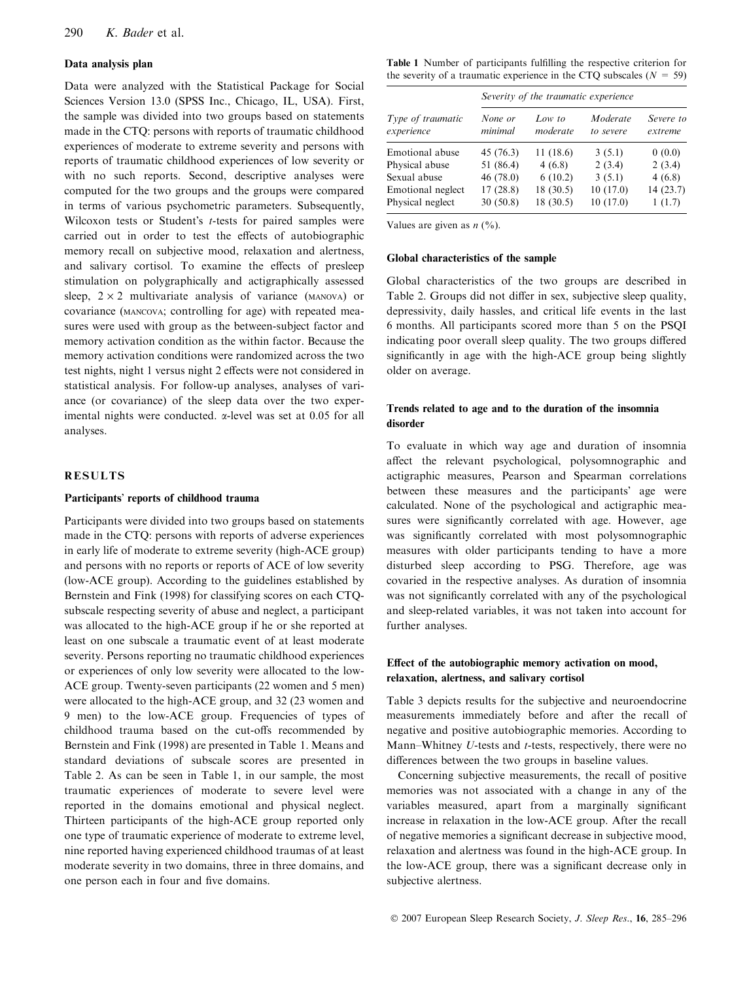#### Data analysis plan

Data were analyzed with the Statistical Package for Social Sciences Version 13.0 (SPSS Inc., Chicago, IL, USA). First, the sample was divided into two groups based on statements made in the CTQ: persons with reports of traumatic childhood experiences of moderate to extreme severity and persons with reports of traumatic childhood experiences of low severity or with no such reports. Second, descriptive analyses were computed for the two groups and the groups were compared in terms of various psychometric parameters. Subsequently, Wilcoxon tests or Student's *t*-tests for paired samples were carried out in order to test the effects of autobiographic memory recall on subjective mood, relaxation and alertness, and salivary cortisol. To examine the effects of presleep stimulation on polygraphically and actigraphically assessed sleep,  $2 \times 2$  multivariate analysis of variance (MANOVA) or covariance (mancova; controlling for age) with repeated measures were used with group as the between-subject factor and memory activation condition as the within factor. Because the memory activation conditions were randomized across the two test nights, night 1 versus night 2 effects were not considered in statistical analysis. For follow-up analyses, analyses of variance (or covariance) of the sleep data over the two experimental nights were conducted.  $\alpha$ -level was set at 0.05 for all analyses.

# RESULTS

# Participants' reports of childhood trauma

Participants were divided into two groups based on statements made in the CTQ: persons with reports of adverse experiences in early life of moderate to extreme severity (high-ACE group) and persons with no reports or reports of ACE of low severity (low-ACE group). According to the guidelines established by Bernstein and Fink (1998) for classifying scores on each CTQsubscale respecting severity of abuse and neglect, a participant was allocated to the high-ACE group if he or she reported at least on one subscale a traumatic event of at least moderate severity. Persons reporting no traumatic childhood experiences or experiences of only low severity were allocated to the low-ACE group. Twenty-seven participants (22 women and 5 men) were allocated to the high-ACE group, and 32 (23 women and 9 men) to the low-ACE group. Frequencies of types of childhood trauma based on the cut-offs recommended by Bernstein and Fink (1998) are presented in Table 1. Means and standard deviations of subscale scores are presented in Table 2. As can be seen in Table 1, in our sample, the most traumatic experiences of moderate to severe level were reported in the domains emotional and physical neglect. Thirteen participants of the high-ACE group reported only one type of traumatic experience of moderate to extreme level, nine reported having experienced childhood traumas of at least moderate severity in two domains, three in three domains, and one person each in four and five domains.

|  |  |  | Table 1 Number of participants fulfilling the respective criterion for |  |
|--|--|--|------------------------------------------------------------------------|--|
|  |  |  | the severity of a traumatic experience in the CTQ subscales $(N = 59)$ |  |

|                                       | Severity of the traumatic experience |                      |                       |                      |  |  |
|---------------------------------------|--------------------------------------|----------------------|-----------------------|----------------------|--|--|
| Type of traumatic<br>experience       | None or<br>minimal                   | Low to<br>moderate   | Moderate<br>to severe | Severe to<br>extreme |  |  |
| Emotional abuse                       | 45 (76.3)                            | 11 (18.6)            | 3(5.1)                | 0(0.0)               |  |  |
| Physical abuse                        | 51 (86.4)                            | 4(6.8)               | 2(3.4)                | 2(3.4)               |  |  |
| Sexual abuse                          | 46(78.0)                             | 6(10.2)              | 3(5.1)                | 4(6.8)               |  |  |
| Emotional neglect<br>Physical neglect | 17(28.8)<br>30(50.8)                 | 18(30.5)<br>18(30.5) | 10(17.0)<br>10(17.0)  | 14(23.7)<br>1(1.7)   |  |  |

Values are given as  $n$  (%).

#### Global characteristics of the sample

Global characteristics of the two groups are described in Table 2. Groups did not differ in sex, subjective sleep quality, depressivity, daily hassles, and critical life events in the last 6 months. All participants scored more than 5 on the PSQI indicating poor overall sleep quality. The two groups differed significantly in age with the high-ACE group being slightly older on average.

# Trends related to age and to the duration of the insomnia disorder

To evaluate in which way age and duration of insomnia affect the relevant psychological, polysomnographic and actigraphic measures, Pearson and Spearman correlations between these measures and the participants' age were calculated. None of the psychological and actigraphic measures were significantly correlated with age. However, age was significantly correlated with most polysomnographic measures with older participants tending to have a more disturbed sleep according to PSG. Therefore, age was covaried in the respective analyses. As duration of insomnia was not significantly correlated with any of the psychological and sleep-related variables, it was not taken into account for further analyses.

# Effect of the autobiographic memory activation on mood, relaxation, alertness, and salivary cortisol

Table 3 depicts results for the subjective and neuroendocrine measurements immediately before and after the recall of negative and positive autobiographic memories. According to Mann–Whitney *U*-tests and *t*-tests, respectively, there were no differences between the two groups in baseline values.

Concerning subjective measurements, the recall of positive memories was not associated with a change in any of the variables measured, apart from a marginally significant increase in relaxation in the low-ACE group. After the recall of negative memories a significant decrease in subjective mood, relaxation and alertness was found in the high-ACE group. In the low-ACE group, there was a significant decrease only in subjective alertness.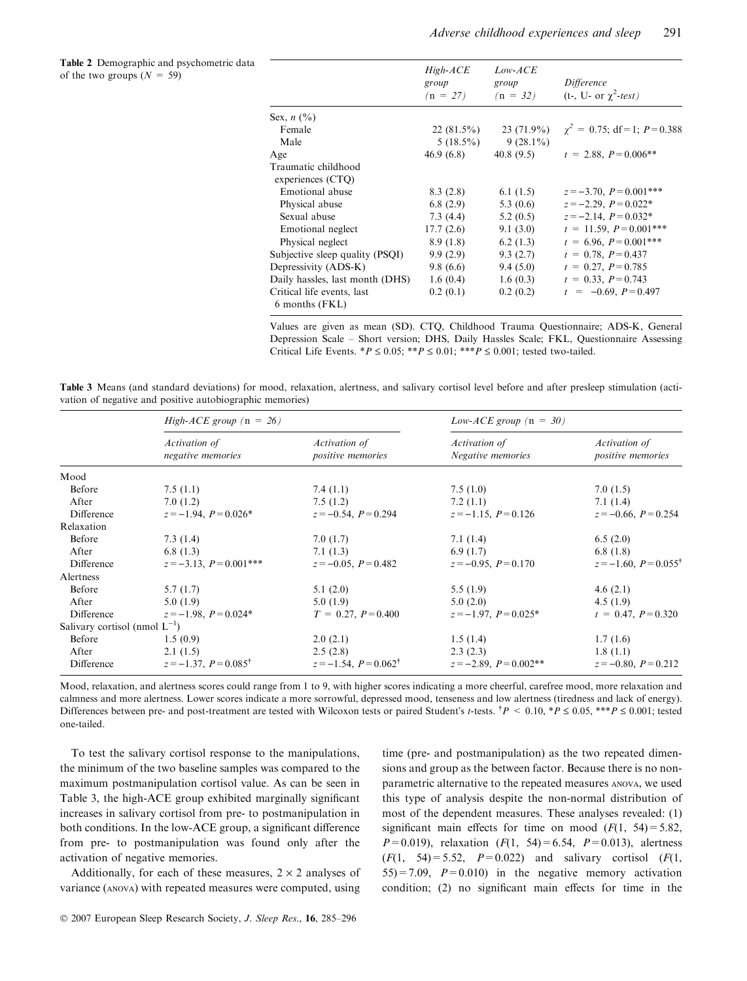Table 2 Demographic and psychometric data of the two groups  $(N = 59)$ 

|                                 | $High-ACE$<br>group<br>$(n = 27)$ | $Low-ACE$<br>group<br>$(n = 32)$ | Difference<br>(t-, U- or $\gamma^2$ -test) |
|---------------------------------|-----------------------------------|----------------------------------|--------------------------------------------|
| Sex, $n$ (%)                    |                                   |                                  |                                            |
| Female                          | $22(81.5\%)$                      | $23(71.9\%)$                     | $\gamma^2 = 0.75$ ; df = 1; P = 0.388      |
| Male                            | $5(18.5\%)$                       | $9(28.1\%)$                      |                                            |
| Age                             | 46.9(6.8)                         | 40.8 (9.5)                       | $t = 2.88, P = 0.006**$                    |
| Traumatic childhood             |                                   |                                  |                                            |
| experiences (CTQ)               |                                   |                                  |                                            |
| Emotional abuse                 | 8.3(2.8)                          | 6.1(1.5)                         | $z = -3.70$ , $P = 0.001$ ***              |
| Physical abuse                  | 6.8(2.9)                          | 5.3(0.6)                         | $z = -2.29$ , $P = 0.022*$                 |
| Sexual abuse                    | 7.3(4.4)                          | 5.2(0.5)                         | $z = -2.14$ , $P = 0.032*$                 |
| Emotional neglect               | 17.7(2.6)                         | 9.1(3.0)                         | $t = 11.59, P = 0.001***$                  |
| Physical neglect                | 8.9(1.8)                          | 6.2(1.3)                         | $t = 6.96, P = 0.001***$                   |
| Subjective sleep quality (PSQI) | 9.9(2.9)                          | 9.3(2.7)                         | $t = 0.78, P = 0.437$                      |
| Depressivity (ADS-K)            | 9.8(6.6)                          | 9.4(5.0)                         | $t = 0.27, P = 0.785$                      |
| Daily hassles, last month (DHS) | 1.6(0.4)                          | 1.6(0.3)                         | $t = 0.33, P = 0.743$                      |
| Critical life events, last      | 0.2(0.1)                          | 0.2(0.2)                         | $t = -0.69, P = 0.497$                     |
| 6 months (FKL)                  |                                   |                                  |                                            |

Values are given as mean (SD). CTQ, Childhood Trauma Questionnaire; ADS-K, General Depression Scale – Short version; DHS, Daily Hassles Scale; FKL, Questionnaire Assessing Critical Life Events. \*  $P \le 0.05$ ; \*\* $P \le 0.01$ ; \*\*\* $P \le 0.001$ ; tested two-tailed.

Table 3 Means (and standard deviations) for mood, relaxation, alertness, and salivary cortisol level before and after presleep stimulation (activation of negative and positive autobiographic memories)

|                                    | High-ACE group $(n = 26)$          |                                     | Low-ACE group $(n = 30)$           |                                    |  |
|------------------------------------|------------------------------------|-------------------------------------|------------------------------------|------------------------------------|--|
|                                    | Activation of<br>negative memories | Activation of<br>positive memories  | Activation of<br>Negative memories | Activation of<br>positive memories |  |
| Mood                               |                                    |                                     |                                    |                                    |  |
| Before                             | 7.5(1.1)                           | 7.4(1.1)                            | 7.5(1.0)                           | 7.0(1.5)                           |  |
| After                              | 7.0(1.2)                           | 7.5(1.2)                            | 7.2(1.1)                           | 7.1(1.4)                           |  |
| Difference                         | $z = -1.94$ , $P = 0.026*$         | $z = -0.54$ , $P = 0.294$           | $z=-1.15, P=0.126$                 | $z = -0.66$ , $P = 0.254$          |  |
| Relaxation                         |                                    |                                     |                                    |                                    |  |
| Before                             | 7.3(1.4)                           | 7.0(1.7)                            | 7.1(1.4)                           | 6.5(2.0)                           |  |
| After                              | 6.8(1.3)                           | 7.1(1.3)                            | 6.9(1.7)                           | 6.8(1.8)                           |  |
| Difference                         | $z=-3.13, P=0.001***$              | $z = -0.05$ , $P = 0.482$           | $z = -0.95$ , $P = 0.170$          | $z = -1.60$ , $P = 0.055$          |  |
| Alertness                          |                                    |                                     |                                    |                                    |  |
| Before                             | 5.7(1.7)                           | 5.1(2.0)                            | 5.5(1.9)                           | 4.6(2.1)                           |  |
| After                              | 5.0(1.9)                           | 5.0(1.9)                            | 5.0(2.0)                           | 4.5(1.9)                           |  |
| Difference                         | $z = -1.98$ , $P = 0.024*$         | $T = 0.27, P = 0.400$               | $z = -1.97$ , $P = 0.025*$         | $t = 0.47, P = 0.320$              |  |
| Salivary cortisol (nmol $L^{-1}$ ) |                                    |                                     |                                    |                                    |  |
| Before                             | 1.5(0.9)                           | 2.0(2.1)                            | 1.5(1.4)                           | 1.7(1.6)                           |  |
| After                              | 2.1(1.5)                           | 2.5(2.8)                            | 2.3(2.3)                           | 1.8(1.1)                           |  |
| Difference                         | $z=-1.37$ , $P=0.085$ <sup>T</sup> | $z = -1.54$ , $P = 0.062^{\dagger}$ | $z = -2.89$ , $P = 0.002**$        | $z = -0.80$ , $P = 0.212$          |  |

Mood, relaxation, and alertness scores could range from 1 to 9, with higher scores indicating a more cheerful, carefree mood, more relaxation and calmness and more alertness. Lower scores indicate a more sorrowful, depressed mood, tenseness and low alertness (tiredness and lack of energy). Differences between pre- and post-treatment are tested with Wilcoxon tests or paired Student's *t*-tests.  $^{\dagger}P$  < 0.10, \**P* ≤ 0.05, \*\*\**P* ≤ 0.001; tested one-tailed.

To test the salivary cortisol response to the manipulations, the minimum of the two baseline samples was compared to the maximum postmanipulation cortisol value. As can be seen in Table 3, the high-ACE group exhibited marginally significant increases in salivary cortisol from pre- to postmanipulation in both conditions. In the low-ACE group, a significant difference from pre- to postmanipulation was found only after the activation of negative memories.

Additionally, for each of these measures,  $2 \times 2$  analyses of variance (anova) with repeated measures were computed, using time (pre- and postmanipulation) as the two repeated dimensions and group as the between factor. Because there is no nonparametric alternative to the repeated measures anova, we used this type of analysis despite the non-normal distribution of most of the dependent measures. These analyses revealed: (1) significant main effects for time on mood  $(F(1, 54)=5.82)$ ,  $P=0.019$ , relaxation  $(F(1, 54)=6.54, P=0.013)$ , alertness  $(F(1, 54)=5.52, P=0.022)$  and salivary cortisol  $(F(1, 54))=5.52$ ,  $55$ )=7.09,  $P=0.010$ ) in the negative memory activation condition; (2) no significant main effects for time in the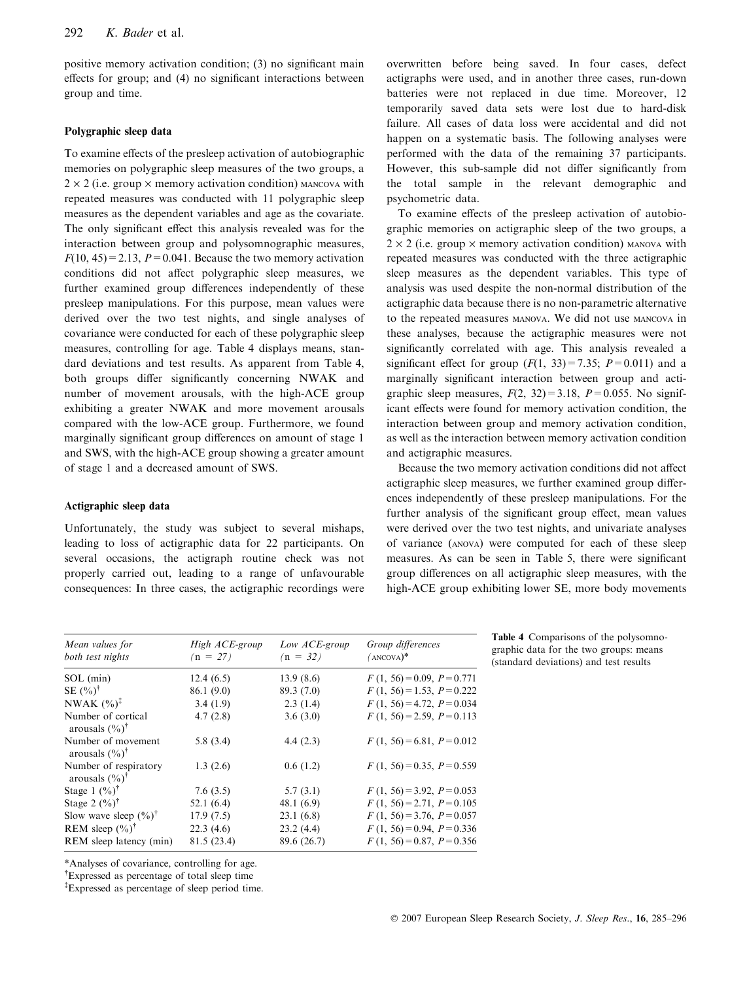positive memory activation condition; (3) no significant main effects for group; and (4) no significant interactions between group and time.

# Polygraphic sleep data

To examine effects of the presleep activation of autobiographic memories on polygraphic sleep measures of the two groups, a  $2 \times 2$  (i.e. group  $\times$  memory activation condition) mancova with repeated measures was conducted with 11 polygraphic sleep measures as the dependent variables and age as the covariate. The only significant effect this analysis revealed was for the interaction between group and polysomnographic measures,  $F(10, 45) = 2.13$ ,  $P = 0.041$ . Because the two memory activation conditions did not affect polygraphic sleep measures, we further examined group differences independently of these presleep manipulations. For this purpose, mean values were derived over the two test nights, and single analyses of covariance were conducted for each of these polygraphic sleep measures, controlling for age. Table 4 displays means, standard deviations and test results. As apparent from Table 4, both groups differ significantly concerning NWAK and number of movement arousals, with the high-ACE group exhibiting a greater NWAK and more movement arousals compared with the low-ACE group. Furthermore, we found marginally significant group differences on amount of stage 1 and SWS, with the high-ACE group showing a greater amount of stage 1 and a decreased amount of SWS.

# Actigraphic sleep data

Unfortunately, the study was subject to several mishaps, leading to loss of actigraphic data for 22 participants. On several occasions, the actigraph routine check was not properly carried out, leading to a range of unfavourable consequences: In three cases, the actigraphic recordings were overwritten before being saved. In four cases, defect actigraphs were used, and in another three cases, run-down batteries were not replaced in due time. Moreover, 12 temporarily saved data sets were lost due to hard-disk failure. All cases of data loss were accidental and did not happen on a systematic basis. The following analyses were performed with the data of the remaining 37 participants. However, this sub-sample did not differ significantly from the total sample in the relevant demographic and psychometric data.

To examine effects of the presleep activation of autobiographic memories on actigraphic sleep of the two groups, a  $2 \times 2$  (i.e. group  $\times$  memory activation condition) manova with repeated measures was conducted with the three actigraphic sleep measures as the dependent variables. This type of analysis was used despite the non-normal distribution of the actigraphic data because there is no non-parametric alternative to the repeated measures manova. We did not use mancova in these analyses, because the actigraphic measures were not significantly correlated with age. This analysis revealed a significant effect for group  $(F(1, 33)=7.35; P=0.011)$  and a marginally significant interaction between group and actigraphic sleep measures,  $F(2, 32) = 3.18$ ,  $P = 0.055$ . No significant effects were found for memory activation condition, the interaction between group and memory activation condition, as well as the interaction between memory activation condition and actigraphic measures.

Because the two memory activation conditions did not affect actigraphic sleep measures, we further examined group differences independently of these presleep manipulations. For the further analysis of the significant group effect, mean values were derived over the two test nights, and univariate analyses of variance (anova) were computed for each of these sleep measures. As can be seen in Table 5, there were significant group differences on all actigraphic sleep measures, with the high-ACE group exhibiting lower SE, more body movements

| Mean values for                                    | High ACE-group | Low ACE-group | Group differences               |
|----------------------------------------------------|----------------|---------------|---------------------------------|
| both test nights                                   | $(n = 27)$     | $(n = 32)$    | $(ANCOVA)*$                     |
| SOL (min)                                          | 12.4(6.5)      | 13.9(8.6)     | $F(1, 56) = 0.09, P = 0.771$    |
| SE $(\%)^{\dagger}$                                | 86.1(9.0)      | 89.3 (7.0)    | $F(1, 56) = 1.53, P = 0.222$    |
| NWAK $(\%)^{\ddagger}$                             | 3.4(1.9)       | 2.3(1.4)      | $F(1, 56) = 4.72, P = 0.034$    |
| Number of cortical<br>arousals $(\%)^{\dagger}$    | 4.7(2.8)       | 3.6(3.0)      | $F(1, 56) = 2.59, P = 0.113$    |
| Number of movement<br>arousals $(\%)^{\dagger}$    | 5.8(3.4)       | 4.4(2.3)      | $F(1, 56) = 6.81, P = 0.012$    |
| Number of respiratory<br>arousals $(\%)^{\dagger}$ | 1.3(2.6)       | 0.6(1.2)      | $F(1, 56) = 0.35, P = 0.559$    |
| Stage 1 $(\%)^{\dagger}$                           | 7.6(3.5)       | 5.7(3.1)      | $F(1, 56) = 3.92, P = 0.053$    |
| Stage 2 $(\%)^{\dagger}$                           | 52.1(6.4)      | 48.1(6.9)     | $F(1, 56) = 2.71, P = 0.105$    |
| Slow wave sleep $(\%)^{\dagger}$                   | 17.9(7.5)      | 23.1(6.8)     | $F(1, 56) = 3.76, P = 0.057$    |
| REM sleep $(\%)^{\dagger}$                         | 22.3(4.6)      | 23.2(4.4)     | $F(1, 56) = 0.94$ , $P = 0.336$ |
| REM sleep latency (min)                            | 81.5 (23.4)    | 89.6 (26.7)   | $F(1, 56) = 0.87, P = 0.356$    |

Table 4 Comparisons of the polysomnographic data for the two groups: means (standard deviations) and test results

\*Analyses of covariance, controlling for age.

Expressed as percentage of total sleep time

<sup>‡</sup>Expressed as percentage of sleep period time.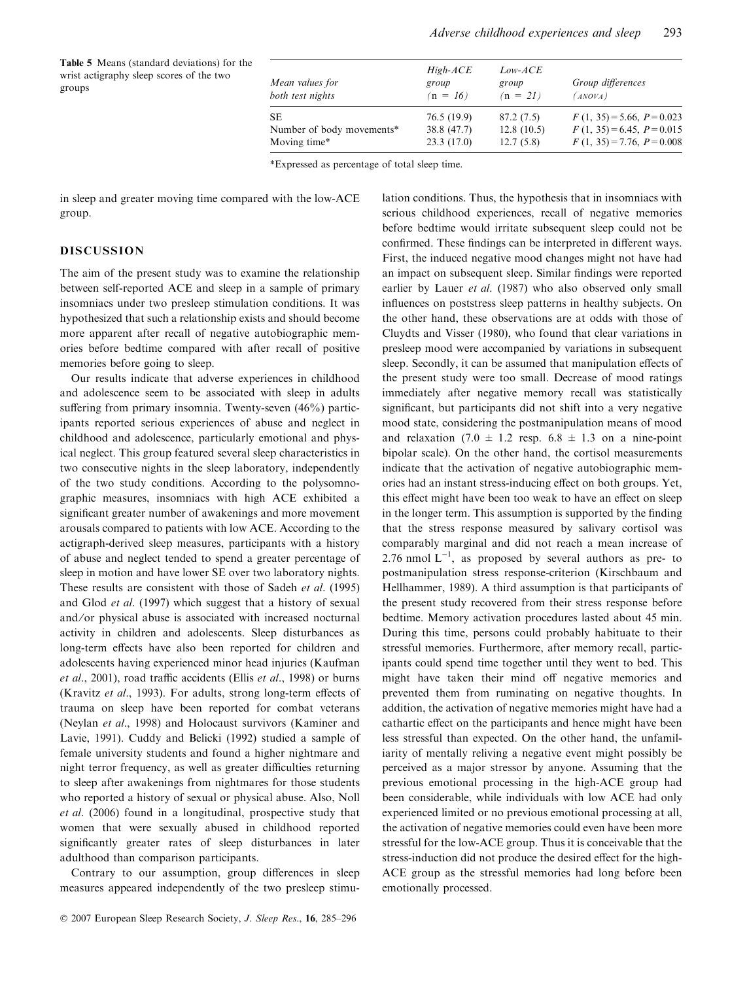| <b>Table 5</b> Means (standard deviations) for the<br>wrist actigraphy sleep scores of the two<br>groups | Mean values for<br>both test nights | $High-ACE$<br>group<br>$(n = 16)$ | $Low-ACE$<br>group<br>$(n = 21)$ | Group differences<br>(ANOVA) |
|----------------------------------------------------------------------------------------------------------|-------------------------------------|-----------------------------------|----------------------------------|------------------------------|
|                                                                                                          | SE                                  | 76.5 (19.9)                       | 87.2 (7.5)                       | $F(1, 35) = 5.66, P = 0.023$ |
|                                                                                                          | Number of body movements*           | 38.8 (47.7)                       | 12.8(10.5)                       | $F(1, 35) = 6.45, P = 0.015$ |
|                                                                                                          | Moving time*                        | 23.3(17.0)                        | 12.7(5.8)                        | $F(1, 35) = 7.76, P = 0.008$ |

\*Expressed as percentage of total sleep time.

in sleep and greater moving time compared with the low-ACE group.

Table 5 Means (standard deviations) for the wrist actigraphy sleep scores of the two

# DISCUSSION

The aim of the present study was to examine the relationship between self-reported ACE and sleep in a sample of primary insomniacs under two presleep stimulation conditions. It was hypothesized that such a relationship exists and should become more apparent after recall of negative autobiographic memories before bedtime compared with after recall of positive memories before going to sleep.

Our results indicate that adverse experiences in childhood and adolescence seem to be associated with sleep in adults suffering from primary insomnia. Twenty-seven (46%) participants reported serious experiences of abuse and neglect in childhood and adolescence, particularly emotional and physical neglect. This group featured several sleep characteristics in two consecutive nights in the sleep laboratory, independently of the two study conditions. According to the polysomnographic measures, insomniacs with high ACE exhibited a significant greater number of awakenings and more movement arousals compared to patients with low ACE. According to the actigraph-derived sleep measures, participants with a history of abuse and neglect tended to spend a greater percentage of sleep in motion and have lower SE over two laboratory nights. These results are consistent with those of Sadeh et al. (1995) and Glod et al. (1997) which suggest that a history of sexual and/or physical abuse is associated with increased nocturnal activity in children and adolescents. Sleep disturbances as long-term effects have also been reported for children and adolescents having experienced minor head injuries (Kaufman et al., 2001), road traffic accidents (Ellis et al., 1998) or burns (Kravitz et al., 1993). For adults, strong long-term effects of trauma on sleep have been reported for combat veterans (Neylan et al., 1998) and Holocaust survivors (Kaminer and Lavie, 1991). Cuddy and Belicki (1992) studied a sample of female university students and found a higher nightmare and night terror frequency, as well as greater difficulties returning to sleep after awakenings from nightmares for those students who reported a history of sexual or physical abuse. Also, Noll et al. (2006) found in a longitudinal, prospective study that women that were sexually abused in childhood reported significantly greater rates of sleep disturbances in later adulthood than comparison participants.

Contrary to our assumption, group differences in sleep measures appeared independently of the two presleep stimulation conditions. Thus, the hypothesis that in insomniacs with serious childhood experiences, recall of negative memories before bedtime would irritate subsequent sleep could not be confirmed. These findings can be interpreted in different ways. First, the induced negative mood changes might not have had an impact on subsequent sleep. Similar findings were reported earlier by Lauer et al. (1987) who also observed only small influences on poststress sleep patterns in healthy subjects. On the other hand, these observations are at odds with those of Cluydts and Visser (1980), who found that clear variations in presleep mood were accompanied by variations in subsequent sleep. Secondly, it can be assumed that manipulation effects of the present study were too small. Decrease of mood ratings immediately after negative memory recall was statistically significant, but participants did not shift into a very negative mood state, considering the postmanipulation means of mood and relaxation  $(7.0 \pm 1.2 \text{ resp. } 6.8 \pm 1.3 \text{ on a nine-point})$ bipolar scale). On the other hand, the cortisol measurements indicate that the activation of negative autobiographic memories had an instant stress-inducing effect on both groups. Yet, this effect might have been too weak to have an effect on sleep in the longer term. This assumption is supported by the finding that the stress response measured by salivary cortisol was comparably marginal and did not reach a mean increase of 2.76 nmol  $L^{-1}$ , as proposed by several authors as pre- to postmanipulation stress response-criterion (Kirschbaum and Hellhammer, 1989). A third assumption is that participants of the present study recovered from their stress response before bedtime. Memory activation procedures lasted about 45 min. During this time, persons could probably habituate to their stressful memories. Furthermore, after memory recall, participants could spend time together until they went to bed. This might have taken their mind off negative memories and prevented them from ruminating on negative thoughts. In addition, the activation of negative memories might have had a cathartic effect on the participants and hence might have been less stressful than expected. On the other hand, the unfamiliarity of mentally reliving a negative event might possibly be perceived as a major stressor by anyone. Assuming that the previous emotional processing in the high-ACE group had been considerable, while individuals with low ACE had only experienced limited or no previous emotional processing at all, the activation of negative memories could even have been more stressful for the low-ACE group. Thus it is conceivable that the stress-induction did not produce the desired effect for the high-ACE group as the stressful memories had long before been emotionally processed.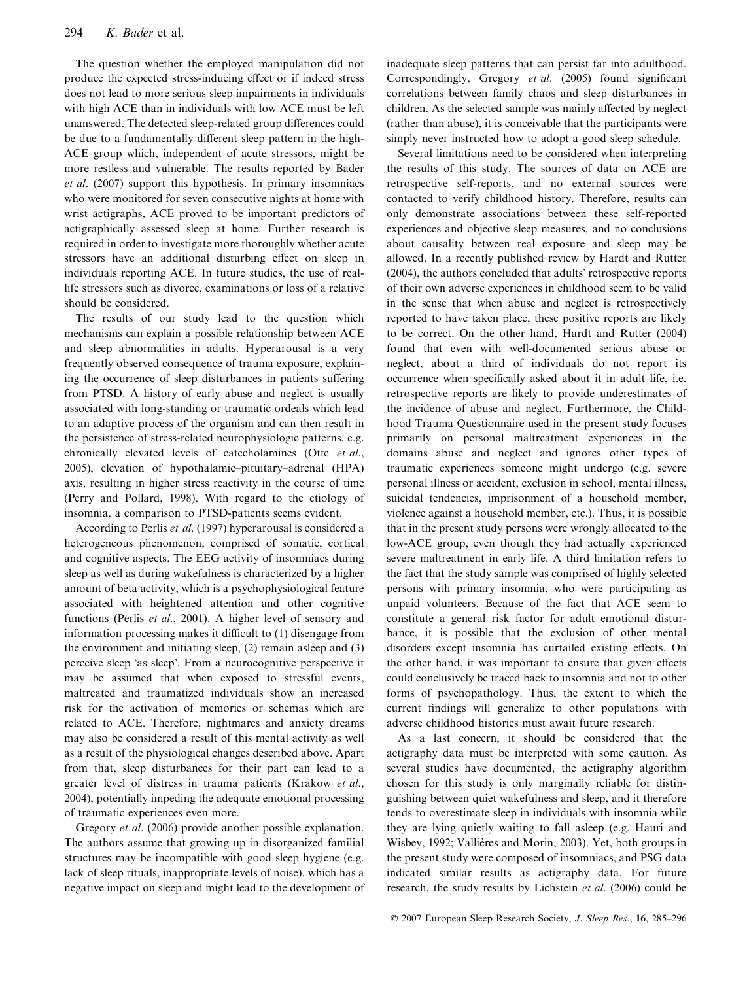The question whether the employed manipulation did not produce the expected stress-inducing effect or if indeed stress does not lead to more serious sleep impairments in individuals with high ACE than in individuals with low ACE must be left unanswered. The detected sleep-related group differences could be due to a fundamentally different sleep pattern in the high-ACE group which, independent of acute stressors, might be more restless and vulnerable. The results reported by Bader et al. (2007) support this hypothesis. In primary insomniacs who were monitored for seven consecutive nights at home with wrist actigraphs, ACE proved to be important predictors of actigraphically assessed sleep at home. Further research is required in order to investigate more thoroughly whether acute stressors have an additional disturbing effect on sleep in individuals reporting ACE. In future studies, the use of reallife stressors such as divorce, examinations or loss of a relative should be considered.

The results of our study lead to the question which mechanisms can explain a possible relationship between ACE and sleep abnormalities in adults. Hyperarousal is a very frequently observed consequence of trauma exposure, explaining the occurrence of sleep disturbances in patients suffering from PTSD. A history of early abuse and neglect is usually associated with long-standing or traumatic ordeals which lead to an adaptive process of the organism and can then result in the persistence of stress-related neurophysiologic patterns, e.g. chronically elevated levels of catecholamines (Otte et al., 2005), elevation of hypothalamic–pituitary–adrenal (HPA) axis, resulting in higher stress reactivity in the course of time (Perry and Pollard, 1998). With regard to the etiology of insomnia, a comparison to PTSD-patients seems evident.

According to Perlis et al. (1997) hyperarousal is considered a heterogeneous phenomenon, comprised of somatic, cortical and cognitive aspects. The EEG activity of insomniacs during sleep as well as during wakefulness is characterized by a higher amount of beta activity, which is a psychophysiological feature associated with heightened attention and other cognitive functions (Perlis *et al.*, 2001). A higher level of sensory and information processing makes it difficult to (1) disengage from the environment and initiating sleep, (2) remain asleep and (3) perceive sleep 'as sleep'. From a neurocognitive perspective it may be assumed that when exposed to stressful events, maltreated and traumatized individuals show an increased risk for the activation of memories or schemas which are related to ACE. Therefore, nightmares and anxiety dreams may also be considered a result of this mental activity as well as a result of the physiological changes described above. Apart from that, sleep disturbances for their part can lead to a greater level of distress in trauma patients (Krakow et al., 2004), potentially impeding the adequate emotional processing of traumatic experiences even more.

Gregory et al. (2006) provide another possible explanation. The authors assume that growing up in disorganized familial structures may be incompatible with good sleep hygiene (e.g. lack of sleep rituals, inappropriate levels of noise), which has a negative impact on sleep and might lead to the development of inadequate sleep patterns that can persist far into adulthood. Correspondingly, Gregory et al. (2005) found significant correlations between family chaos and sleep disturbances in children. As the selected sample was mainly affected by neglect (rather than abuse), it is conceivable that the participants were simply never instructed how to adopt a good sleep schedule.

Several limitations need to be considered when interpreting the results of this study. The sources of data on ACE are retrospective self-reports, and no external sources were contacted to verify childhood history. Therefore, results can only demonstrate associations between these self-reported experiences and objective sleep measures, and no conclusions about causality between real exposure and sleep may be allowed. In a recently published review by Hardt and Rutter (2004), the authors concluded that adults' retrospective reports of their own adverse experiences in childhood seem to be valid in the sense that when abuse and neglect is retrospectively reported to have taken place, these positive reports are likely to be correct. On the other hand, Hardt and Rutter (2004) found that even with well-documented serious abuse or neglect, about a third of individuals do not report its occurrence when specifically asked about it in adult life, i.e. retrospective reports are likely to provide underestimates of the incidence of abuse and neglect. Furthermore, the Childhood Trauma Questionnaire used in the present study focuses primarily on personal maltreatment experiences in the domains abuse and neglect and ignores other types of traumatic experiences someone might undergo (e.g. severe personal illness or accident, exclusion in school, mental illness, suicidal tendencies, imprisonment of a household member, violence against a household member, etc.). Thus, it is possible that in the present study persons were wrongly allocated to the low-ACE group, even though they had actually experienced severe maltreatment in early life. A third limitation refers to the fact that the study sample was comprised of highly selected persons with primary insomnia, who were participating as unpaid volunteers. Because of the fact that ACE seem to constitute a general risk factor for adult emotional disturbance, it is possible that the exclusion of other mental disorders except insomnia has curtailed existing effects. On the other hand, it was important to ensure that given effects could conclusively be traced back to insomnia and not to other forms of psychopathology. Thus, the extent to which the current findings will generalize to other populations with adverse childhood histories must await future research.

As a last concern, it should be considered that the actigraphy data must be interpreted with some caution. As several studies have documented, the actigraphy algorithm chosen for this study is only marginally reliable for distinguishing between quiet wakefulness and sleep, and it therefore tends to overestimate sleep in individuals with insomnia while they are lying quietly waiting to fall asleep (e.g. Hauri and Wisbey, 1992; Vallières and Morin, 2003). Yet, both groups in the present study were composed of insomniacs, and PSG data indicated similar results as actigraphy data. For future research, the study results by Lichstein et al. (2006) could be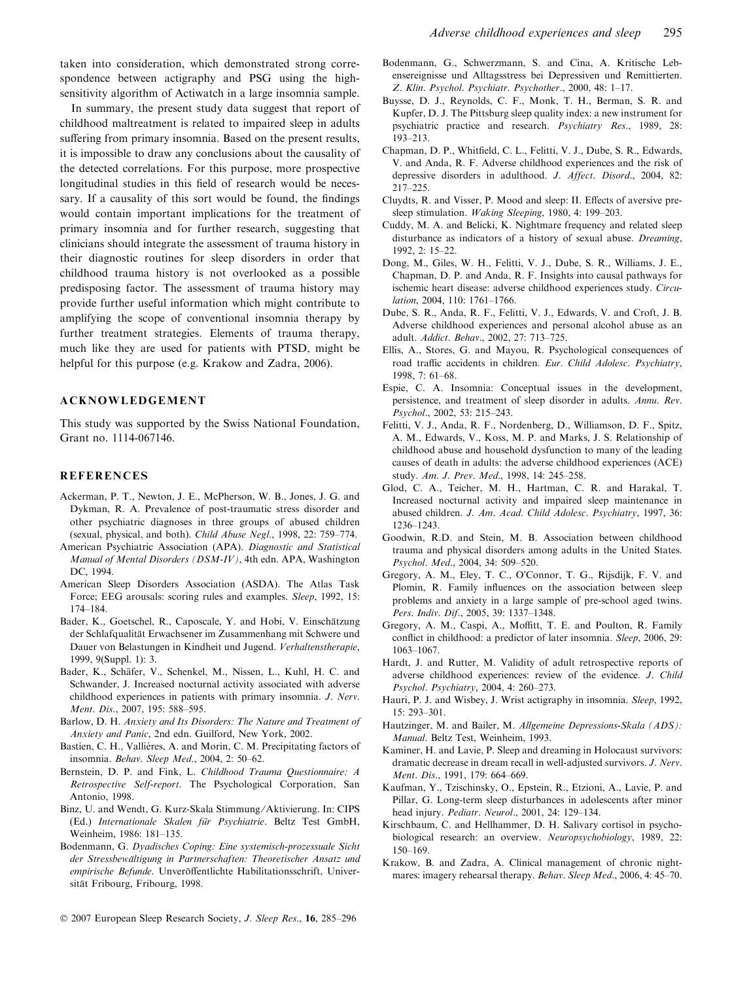taken into consideration, which demonstrated strong correspondence between actigraphy and PSG using the highsensitivity algorithm of Actiwatch in a large insomnia sample.

In summary, the present study data suggest that report of childhood maltreatment is related to impaired sleep in adults suffering from primary insomnia. Based on the present results, it is impossible to draw any conclusions about the causality of the detected correlations. For this purpose, more prospective longitudinal studies in this field of research would be necessary. If a causality of this sort would be found, the findings would contain important implications for the treatment of primary insomnia and for further research, suggesting that clinicians should integrate the assessment of trauma history in their diagnostic routines for sleep disorders in order that childhood trauma history is not overlooked as a possible predisposing factor. The assessment of trauma history may provide further useful information which might contribute to amplifying the scope of conventional insomnia therapy by further treatment strategies. Elements of trauma therapy, much like they are used for patients with PTSD, might be helpful for this purpose (e.g. Krakow and Zadra, 2006).

# ACKNOWLEDGEMENT

This study was supported by the Swiss National Foundation, Grant no. 1114-067146.

#### REFERENCES

- Ackerman, P. T., Newton, J. E., McPherson, W. B., Jones, J. G. and Dykman, R. A. Prevalence of post-traumatic stress disorder and other psychiatric diagnoses in three groups of abused children (sexual, physical, and both). Child Abuse Negl., 1998, 22: 759–774.
- American Psychiatric Association (APA). Diagnostic and Statistical Manual of Mental Disorders (DSM-IV), 4th edn. APA, Washington DC, 1994.
- American Sleep Disorders Association (ASDA). The Atlas Task Force; EEG arousals: scoring rules and examples. Sleep, 1992, 15: 174–184.
- Bader, K., Goetschel, R., Caposcale, Y. and Hobi, V. Einschätzung der Schlafqualität Erwachsener im Zusammenhang mit Schwere und Dauer von Belastungen in Kindheit und Jugend. Verhaltenstherapie, 1999, 9(Suppl. 1): 3.
- Bader, K., Schäfer, V., Schenkel, M., Nissen, L., Kuhl, H. C. and Schwander, J. Increased nocturnal activity associated with adverse childhood experiences in patients with primary insomnia. J. Nerv. Ment. Dis., 2007, 195: 588–595.
- Barlow, D. H. Anxiety and Its Disorders: The Nature and Treatment of Anxiety and Panic, 2nd edn. Guilford, New York, 2002.
- Bastien, C. H., Vallières, A. and Morin, C. M. Precipitating factors of insomnia. Behav. Sleep Med., 2004, 2: 50–62.
- Bernstein, D. P. and Fink, L. Childhood Trauma Questionnaire: A Retrospective Self-report. The Psychological Corporation, San Antonio, 1998.
- Binz, U. and Wendt, G. Kurz-Skala Stimmung/Aktivierung. In: CIPS (Ed.) Internationale Skalen für Psychiatrie. Beltz Test GmbH, Weinheim, 1986: 181–135.
- Bodenmann, G. Dyadisches Coping: Eine systemisch-prozessuale Sicht der Stressbewältigung in Partnerschaften: Theoretischer Ansatz und empirische Befunde. Unveröffentlichte Habilitationsschrift, Universität Fribourg, Fribourg, 1998.
- Bodenmann, G., Schwerzmann, S. and Cina, A. Kritische Lebensereignisse und Alltagsstress bei Depressiven und Remittierten. Z. Klin. Psychol. Psychiatr. Psychother., 2000, 48: 1–17.
- Buysse, D. J., Reynolds, C. F., Monk, T. H., Berman, S. R. and Kupfer, D. J. The Pittsburg sleep quality index: a new instrument for psychiatric practice and research. Psychiatry Res., 1989, 28: 193–213.
- Chapman, D. P., Whitfield, C. L., Felitti, V. J., Dube, S. R., Edwards, V. and Anda, R. F. Adverse childhood experiences and the risk of depressive disorders in adulthood. J. Affect. Disord., 2004, 82: 217–225.
- Cluydts, R. and Visser, P. Mood and sleep: II. Effects of aversive presleep stimulation. Waking Sleeping, 1980, 4: 199–203.
- Cuddy, M. A. and Belicki, K. Nightmare frequency and related sleep disturbance as indicators of a history of sexual abuse. Dreaming, 1992, 2: 15–22.
- Dong, M., Giles, W. H., Felitti, V. J., Dube, S. R., Williams, J. E., Chapman, D. P. and Anda, R. F. Insights into causal pathways for ischemic heart disease: adverse childhood experiences study. Circulation, 2004, 110: 1761–1766.
- Dube, S. R., Anda, R. F., Felitti, V. J., Edwards, V. and Croft, J. B. Adverse childhood experiences and personal alcohol abuse as an adult. Addict. Behav., 2002, 27: 713–725.
- Ellis, A., Stores, G. and Mayou, R. Psychological consequences of road traffic accidents in children. Eur. Child Adolesc. Psychiatry, 1998, 7: 61–68.
- Espie, C. A. Insomnia: Conceptual issues in the development, persistence, and treatment of sleep disorder in adults. Annu. Rev. Psychol., 2002, 53: 215–243.
- Felitti, V. J., Anda, R. F., Nordenberg, D., Williamson, D. F., Spitz, A. M., Edwards, V., Koss, M. P. and Marks, J. S. Relationship of childhood abuse and household dysfunction to many of the leading causes of death in adults: the adverse childhood experiences (ACE) study. Am. J. Prev. Med., 1998, 14: 245–258.
- Glod, C. A., Teicher, M. H., Hartman, C. R. and Harakal, T. Increased nocturnal activity and impaired sleep maintenance in abused children. J. Am. Acad. Child Adolesc. Psychiatry, 1997, 36: 1236–1243.
- Goodwin, R.D. and Stein, M. B. Association between childhood trauma and physical disorders among adults in the United States. Psychol. Med., 2004, 34: 509–520.
- Gregory, A. M., Eley, T. C., O'Connor, T. G., Rijsdijk, F. V. and Plomin, R. Family influences on the association between sleep problems and anxiety in a large sample of pre-school aged twins. Pers. Indiv. Dif., 2005, 39: 1337–1348.
- Gregory, A. M., Caspi, A., Moffitt, T. E. and Poulton, R. Family conflict in childhood: a predictor of later insomnia. Sleep, 2006, 29: 1063–1067.
- Hardt, J. and Rutter, M. Validity of adult retrospective reports of adverse childhood experiences: review of the evidence. J. Child Psychol. Psychiatry, 2004, 4: 260–273.
- Hauri, P. J. and Wisbey, J. Wrist actigraphy in insomnia. Sleep, 1992, 15: 293–301.
- Hautzinger, M. and Bailer, M. Allgemeine Depressions-Skala (ADS): Manual. Beltz Test, Weinheim, 1993.
- Kaminer, H. and Lavie, P. Sleep and dreaming in Holocaust survivors: dramatic decrease in dream recall in well-adjusted survivors. J. Nerv. Ment. Dis., 1991, 179: 664–669.
- Kaufman, Y., Tzischinsky, O., Epstein, R., Etzioni, A., Lavie, P. and Pillar, G. Long-term sleep disturbances in adolescents after minor head injury. Pediatr. Neurol., 2001, 24: 129–134.
- Kirschbaum, C. and Hellhammer, D. H. Salivary cortisol in psychobiological research: an overview. Neuropsychobiology, 1989, 22: 150–169.
- Krakow, B. and Zadra, A. Clinical management of chronic nightmares: imagery rehearsal therapy. Behav. Sleep Med., 2006, 4: 45–70.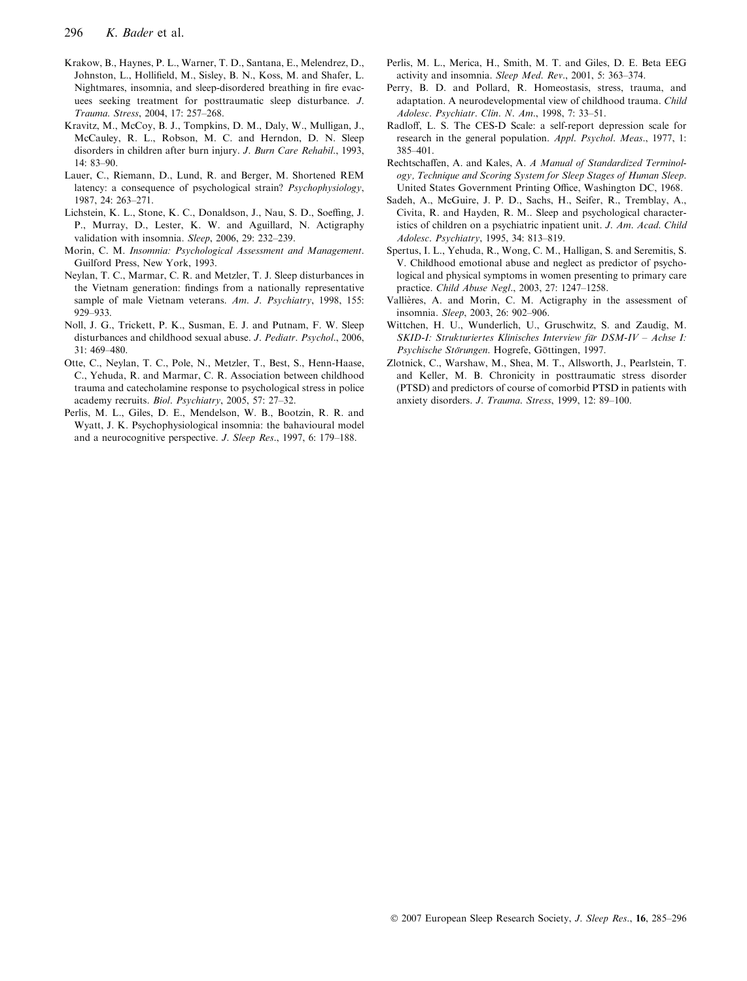- Krakow, B., Haynes, P. L., Warner, T. D., Santana, E., Melendrez, D., Johnston, L., Hollifield, M., Sisley, B. N., Koss, M. and Shafer, L. Nightmares, insomnia, and sleep-disordered breathing in fire evacuees seeking treatment for posttraumatic sleep disturbance. J. Trauma. Stress, 2004, 17: 257–268.
- Kravitz, M., McCoy, B. J., Tompkins, D. M., Daly, W., Mulligan, J., McCauley, R. L., Robson, M. C. and Herndon, D. N. Sleep disorders in children after burn injury. J. Burn Care Rehabil., 1993, 14: 83–90.
- Lauer, C., Riemann, D., Lund, R. and Berger, M. Shortened REM latency: a consequence of psychological strain? Psychophysiology, 1987, 24: 263–271.
- Lichstein, K. L., Stone, K. C., Donaldson, J., Nau, S. D., Soeffing, J. P., Murray, D., Lester, K. W. and Aguillard, N. Actigraphy validation with insomnia. Sleep, 2006, 29: 232–239.
- Morin, C. M. Insomnia: Psychological Assessment and Management. Guilford Press, New York, 1993.
- Neylan, T. C., Marmar, C. R. and Metzler, T. J. Sleep disturbances in the Vietnam generation: findings from a nationally representative sample of male Vietnam veterans. Am. J. Psychiatry, 1998, 155: 929–933.
- Noll, J. G., Trickett, P. K., Susman, E. J. and Putnam, F. W. Sleep disturbances and childhood sexual abuse. J. Pediatr. Psychol., 2006,  $31 \cdot 469 - 480$
- Otte, C., Neylan, T. C., Pole, N., Metzler, T., Best, S., Henn-Haase, C., Yehuda, R. and Marmar, C. R. Association between childhood trauma and catecholamine response to psychological stress in police academy recruits. Biol. Psychiatry, 2005, 57: 27–32.
- Perlis, M. L., Giles, D. E., Mendelson, W. B., Bootzin, R. R. and Wyatt, J. K. Psychophysiological insomnia: the bahavioural model and a neurocognitive perspective. J. Sleep Res., 1997, 6: 179–188.
- Perlis, M. L., Merica, H., Smith, M. T. and Giles, D. E. Beta EEG activity and insomnia. Sleep Med. Rev., 2001, 5: 363–374.
- Perry, B. D. and Pollard, R. Homeostasis, stress, trauma, and adaptation. A neurodevelopmental view of childhood trauma. Child Adolesc. Psychiatr. Clin. N. Am., 1998, 7: 33–51.
- Radloff, L. S. The CES-D Scale: a self-report depression scale for research in the general population. Appl. Psychol. Meas., 1977, 1: 385–401.
- Rechtschaffen, A. and Kales, A. A Manual of Standardized Terminology, Technique and Scoring System for Sleep Stages of Human Sleep. United States Government Printing Office, Washington DC, 1968.
- Sadeh, A., McGuire, J. P. D., Sachs, H., Seifer, R., Tremblay, A., Civita, R. and Hayden, R. M.. Sleep and psychological characteristics of children on a psychiatric inpatient unit. J. Am. Acad. Child Adolesc. Psychiatry, 1995, 34: 813–819.
- Spertus, I. L., Yehuda, R., Wong, C. M., Halligan, S. and Seremitis, S. V. Childhood emotional abuse and neglect as predictor of psychological and physical symptoms in women presenting to primary care practice. Child Abuse Negl., 2003, 27: 1247–1258.
- Vallières, A. and Morin, C. M. Actigraphy in the assessment of insomnia. Sleep, 2003, 26: 902–906.
- Wittchen, H. U., Wunderlich, U., Gruschwitz, S. and Zaudig, M. SKID-I: Strukturiertes Klinisches Interview für DSM-IV - Achse I: Psychische Störungen. Hogrefe, Göttingen, 1997.
- Zlotnick, C., Warshaw, M., Shea, M. T., Allsworth, J., Pearlstein, T. and Keller, M. B. Chronicity in posttraumatic stress disorder (PTSD) and predictors of course of comorbid PTSD in patients with anxiety disorders. J. Trauma. Stress, 1999, 12: 89–100.